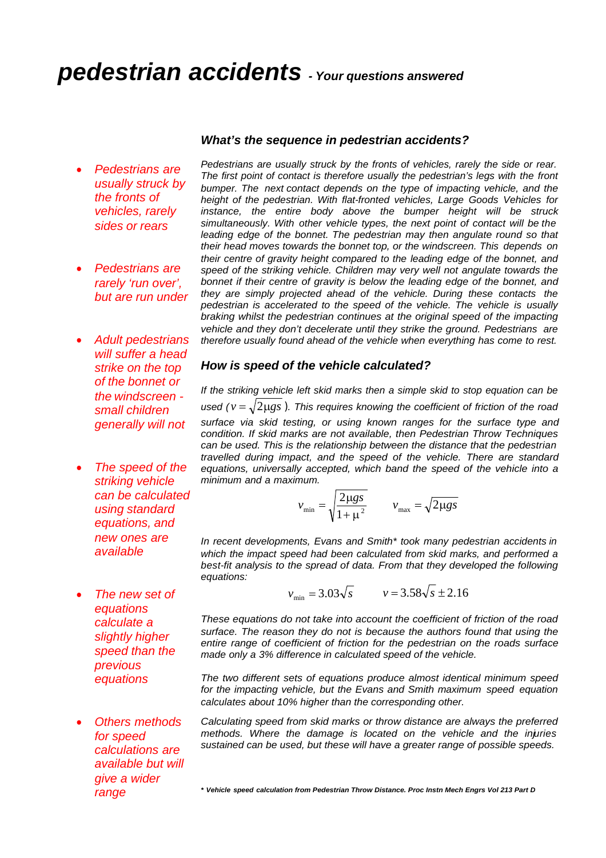# *pedestrian accidents - Your questions answered*

- · *Pedestrians are usually struck by the fronts of vehicles, rarely sides or rears*
- · *Pedestrians are rarely 'run over', but are run under*
- · *Adult pedestrians will suffer a head strike on the top of the bonnet or the windscreen small children generally will not*
- · *The speed of the striking vehicle can be calculated using standard equations, and new ones are available*
- **The new set of** *equations calculate a slightly higher speed than the previous equations*

· *Others methods for speed calculations are available but will give a wider range*

### *What's the sequence in pedestrian accidents?*

*Pedestrians are usually struck by the fronts of vehicles, rarely the side or rear. The first point of contact is therefore usually the pedestrian's legs with the front bumper. The next contact depends on the type of impacting vehicle, and the height of the pedestrian. With flat-fronted vehicles, Large Goods Vehicles for instance, the entire body above the bumper height will be struck simultaneously. With other vehicle types, the next point of contact will be the leading edge of the bonnet. The pedestrian may then angulate round so that their head moves towards the bonnet top, or the windscreen. This depends on their centre of gravity height compared to the leading edge of the bonnet, and speed of the striking vehicle. Children may very well not angulate towards the bonnet if their centre of gravity is below the leading edge of the bonnet, and they are simply projected ahead of the vehicle. During these contacts the pedestrian is accelerated to the speed of the vehicle. The vehicle is usually braking whilst the pedestrian continues at the original speed of the impacting vehicle and they don't decelerate until they strike the ground. Pedestrians are therefore usually found ahead of the vehicle when everything has come to rest.*

### *How is speed of the vehicle calculated?*

*If the striking vehicle left skid marks then a simple skid to stop equation can be used (* $v = \sqrt{2\mu gs}$ *). This requires knowing the coefficient of friction of the road surface via skid testing, or using known ranges for the surface type and condition. If skid marks are not available, then Pedestrian Throw Techniques can be used. This is the relationship between the distance that the pedestrian travelled during impact, and the speed of the vehicle. There are standard equations, universally accepted, which band the speed of the vehicle into a minimum and a maximum.*

$$
v_{\min} = \sqrt{\frac{2\mu gs}{1 + \mu^2}} \qquad v_{\max} = \sqrt{2\mu gs}
$$

*In recent developments, Evans and Smith\* took many pedestrian accidents in which the impact speed had been calculated from skid marks, and performed a best-fit analysis to the spread of data. From that they developed the following equations:*

$$
v_{\min} = 3.03\sqrt{s}
$$
  $v = 3.58\sqrt{s} \pm 2.16$ 

*These equations do not take into account the coefficient of friction of the road surface. The reason they do not is because the authors found that using the entire range of coefficient of friction for the pedestrian on the roads surface made only a 3% difference in calculated speed of the vehicle.*

*The two different sets of equations produce almost identical minimum speed for the impacting vehicle, but the Evans and Smith maximum speed equation calculates about 10% higher than the corresponding other.*

*Calculating speed from skid marks or throw distance are always the preferred methods. Where the damage is located on the vehicle and the injuries sustained can be used, but these will have a greater range of possible speeds.*

*\* Vehicle speed calculation from Pedestrian Throw Distance. Proc Instn Mech Engrs Vol 213 Part D*